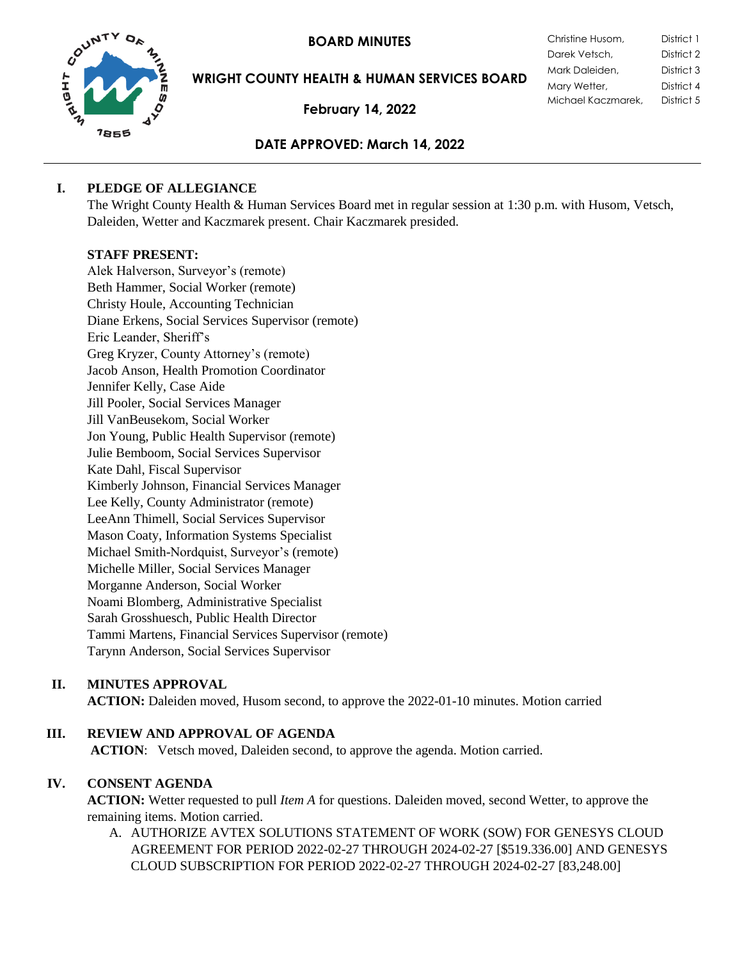**BOARD MINUTES** 



**WRIGHT COUNTY HEALTH & HUMAN SERVICES BOARD**

**February 14, 2022**

| Christine Husom,   | District 1 |
|--------------------|------------|
| Darek Vetsch,      | District 2 |
| Mark Daleiden,     | District 3 |
| Mary Wetter,       | District 4 |
| Michael Kaczmarek, | District 5 |

# **DATE APPROVED: March 14, 2022**

# **I. PLEDGE OF ALLEGIANCE**

The Wright County Health & Human Services Board met in regular session at 1:30 p.m. with Husom, Vetsch, Daleiden, Wetter and Kaczmarek present. Chair Kaczmarek presided.

# **STAFF PRESENT:**

Alek Halverson, Surveyor's (remote) Beth Hammer, Social Worker (remote) Christy Houle, Accounting Technician Diane Erkens, Social Services Supervisor (remote) Eric Leander, Sheriff's Greg Kryzer, County Attorney's (remote) Jacob Anson, Health Promotion Coordinator Jennifer Kelly, Case Aide Jill Pooler, Social Services Manager Jill VanBeusekom, Social Worker Jon Young, Public Health Supervisor (remote) Julie Bemboom, Social Services Supervisor Kate Dahl, Fiscal Supervisor Kimberly Johnson, Financial Services Manager Lee Kelly, County Administrator (remote) LeeAnn Thimell, Social Services Supervisor Mason Coaty, Information Systems Specialist Michael Smith-Nordquist, Surveyor's (remote) Michelle Miller, Social Services Manager Morganne Anderson, Social Worker Noami Blomberg, Administrative Specialist Sarah Grosshuesch, Public Health Director Tammi Martens, Financial Services Supervisor (remote) Tarynn Anderson, Social Services Supervisor

### **II. MINUTES APPROVAL**

**ACTION:** Daleiden moved, Husom second, to approve the 2022-01-10 minutes. Motion carried

# **III. REVIEW AND APPROVAL OF AGENDA**

**ACTION**: Vetsch moved, Daleiden second, to approve the agenda. Motion carried.

### **IV. CONSENT AGENDA**

**ACTION:** Wetter requested to pull *Item A* for questions. Daleiden moved, second Wetter, to approve the remaining items. Motion carried.

A. AUTHORIZE AVTEX SOLUTIONS STATEMENT OF WORK (SOW) FOR GENESYS CLOUD AGREEMENT FOR PERIOD 2022-02-27 THROUGH 2024-02-27 [\$519.336.00] AND GENESYS CLOUD SUBSCRIPTION FOR PERIOD 2022-02-27 THROUGH 2024-02-27 [83,248.00]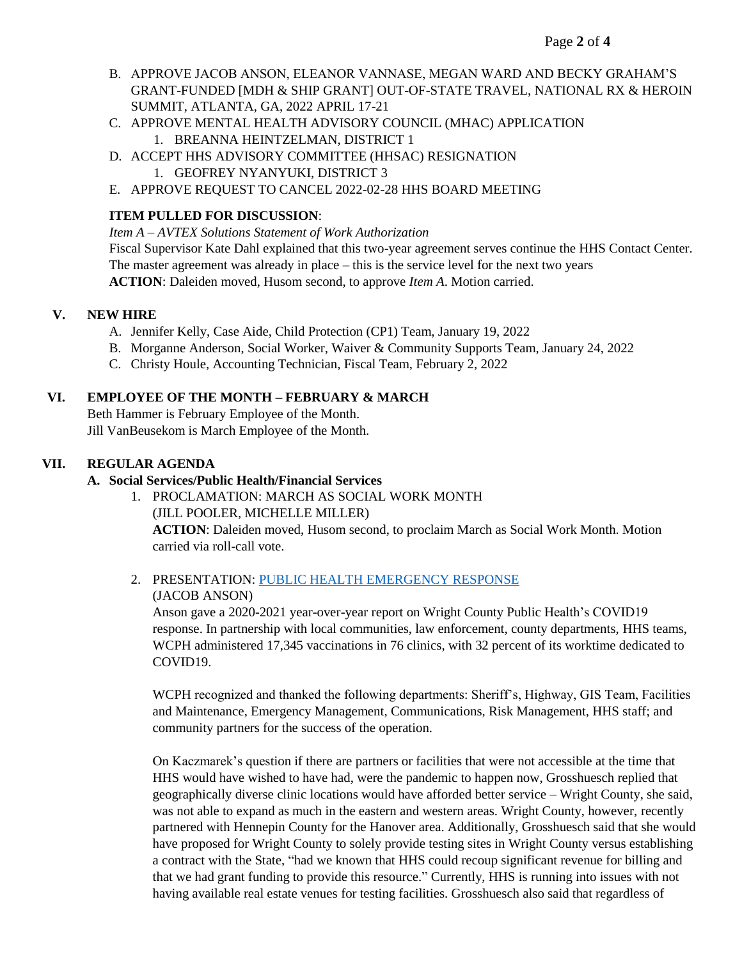- B. APPROVE JACOB ANSON, ELEANOR VANNASE, MEGAN WARD AND BECKY GRAHAM'S GRANT-FUNDED [MDH & SHIP GRANT] OUT-OF-STATE TRAVEL, NATIONAL RX & HEROIN SUMMIT, ATLANTA, GA, 2022 APRIL 17-21
- C. APPROVE MENTAL HEALTH ADVISORY COUNCIL (MHAC) APPLICATION 1. BREANNA HEINTZELMAN, DISTRICT 1
- D. ACCEPT HHS ADVISORY COMMITTEE (HHSAC) RESIGNATION 1. GEOFREY NYANYUKI, DISTRICT 3
- E. APPROVE REQUEST TO CANCEL 2022-02-28 HHS BOARD MEETING

# **ITEM PULLED FOR DISCUSSION**:

*Item A – AVTEX Solutions Statement of Work Authorization* Fiscal Supervisor Kate Dahl explained that this two-year agreement serves continue the HHS Contact Center. The master agreement was already in place – this is the service level for the next two years **ACTION**: Daleiden moved, Husom second, to approve *Item A*. Motion carried.

### **V. NEW HIRE**

- A. Jennifer Kelly, Case Aide, Child Protection (CP1) Team, January 19, 2022
- B. Morganne Anderson, Social Worker, Waiver & Community Supports Team, January 24, 2022
- C. Christy Houle, Accounting Technician, Fiscal Team, February 2, 2022

#### **VI. EMPLOYEE OF THE MONTH – FEBRUARY & MARCH**

Beth Hammer is February Employee of the Month. Jill VanBeusekom is March Employee of the Month.

### **VII. REGULAR AGENDA**

#### **A. Social Services/Public Health/Financial Services**

- 1. PROCLAMATION: MARCH AS SOCIAL WORK MONTH (JILL POOLER, MICHELLE MILLER) **ACTION**: Daleiden moved, Husom second, to proclaim March as Social Work Month. Motion carried via roll-call vote.
- 2. PRESENTATION: PUBLIC HEALTH [EMERGENCY RESPONSE](https://www.co.wright.mn.us/AgendaCenter/ViewFile/Item/10333?fileID=22178) (JACOB ANSON)

Anson gave a 2020-2021 year-over-year report on Wright County Public Health's COVID19 response. In partnership with local communities, law enforcement, county departments, HHS teams, WCPH administered 17,345 vaccinations in 76 clinics, with 32 percent of its worktime dedicated to COVID19.

WCPH recognized and thanked the following departments: Sheriff's, Highway, GIS Team, Facilities and Maintenance, Emergency Management, Communications, Risk Management, HHS staff; and community partners for the success of the operation.

On Kaczmarek's question if there are partners or facilities that were not accessible at the time that HHS would have wished to have had, were the pandemic to happen now, Grosshuesch replied that geographically diverse clinic locations would have afforded better service – Wright County, she said, was not able to expand as much in the eastern and western areas. Wright County, however, recently partnered with Hennepin County for the Hanover area. Additionally, Grosshuesch said that she would have proposed for Wright County to solely provide testing sites in Wright County versus establishing a contract with the State, "had we known that HHS could recoup significant revenue for billing and that we had grant funding to provide this resource." Currently, HHS is running into issues with not having available real estate venues for testing facilities. Grosshuesch also said that regardless of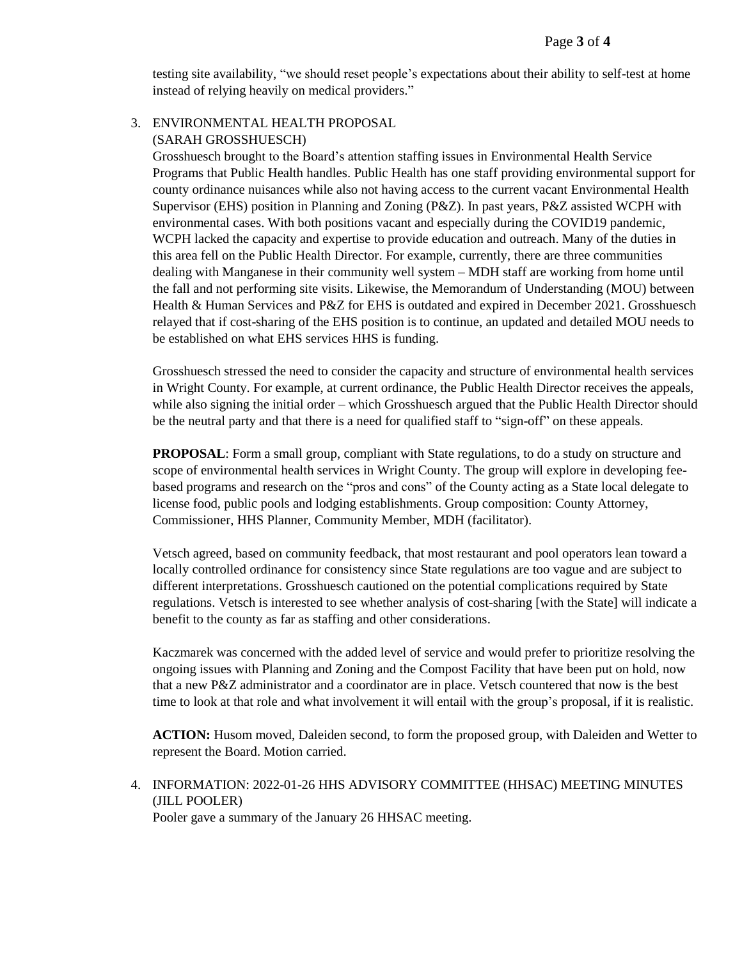testing site availability, "we should reset people's expectations about their ability to self-test at home instead of relying heavily on medical providers."

#### 3. ENVIRONMENTAL HEALTH PROPOSAL (SARAH GROSSHUESCH)

Grosshuesch brought to the Board's attention staffing issues in Environmental Health Service Programs that Public Health handles. Public Health has one staff providing environmental support for county ordinance nuisances while also not having access to the current vacant Environmental Health Supervisor (EHS) position in Planning and Zoning (P&Z). In past years, P&Z assisted WCPH with environmental cases. With both positions vacant and especially during the COVID19 pandemic, WCPH lacked the capacity and expertise to provide education and outreach. Many of the duties in this area fell on the Public Health Director. For example, currently, there are three communities dealing with Manganese in their community well system – MDH staff are working from home until the fall and not performing site visits. Likewise, the Memorandum of Understanding (MOU) between Health & Human Services and P&Z for EHS is outdated and expired in December 2021. Grosshuesch relayed that if cost-sharing of the EHS position is to continue, an updated and detailed MOU needs to be established on what EHS services HHS is funding.

Grosshuesch stressed the need to consider the capacity and structure of environmental health services in Wright County. For example, at current ordinance, the Public Health Director receives the appeals, while also signing the initial order – which Grosshuesch argued that the Public Health Director should be the neutral party and that there is a need for qualified staff to "sign-off" on these appeals.

**PROPOSAL:** Form a small group, compliant with State regulations, to do a study on structure and scope of environmental health services in Wright County. The group will explore in developing feebased programs and research on the "pros and cons" of the County acting as a State local delegate to license food, public pools and lodging establishments. Group composition: County Attorney, Commissioner, HHS Planner, Community Member, MDH (facilitator).

Vetsch agreed, based on community feedback, that most restaurant and pool operators lean toward a locally controlled ordinance for consistency since State regulations are too vague and are subject to different interpretations. Grosshuesch cautioned on the potential complications required by State regulations. Vetsch is interested to see whether analysis of cost-sharing [with the State] will indicate a benefit to the county as far as staffing and other considerations.

Kaczmarek was concerned with the added level of service and would prefer to prioritize resolving the ongoing issues with Planning and Zoning and the Compost Facility that have been put on hold, now that a new P&Z administrator and a coordinator are in place. Vetsch countered that now is the best time to look at that role and what involvement it will entail with the group's proposal, if it is realistic.

**ACTION:** Husom moved, Daleiden second, to form the proposed group, with Daleiden and Wetter to represent the Board. Motion carried.

4. INFORMATION: 2022-01-26 HHS ADVISORY COMMITTEE (HHSAC) MEETING MINUTES (JILL POOLER) Pooler gave a summary of the January 26 HHSAC meeting.